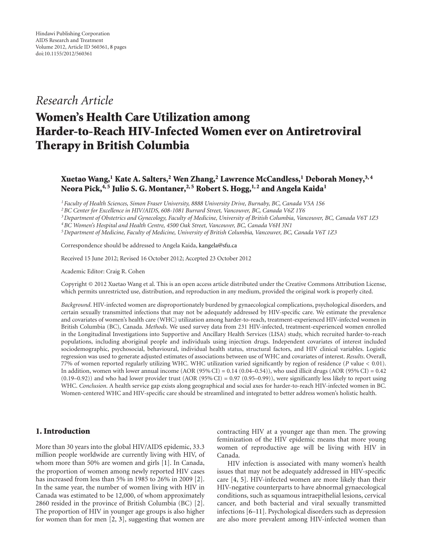## *Research Article*

# **Women's Health Care Utilization among Harder-to-Reach HIV-Infected Women ever on Antiretroviral Therapy in British Columbia**

## **Xuetao Wang,1 Kate A. Salters,2 Wen Zhang,2 Lawrence McCandless,1 Deborah Money,3, 4** Neora Pick,<sup>4,5</sup> Julio S. G. Montaner,<sup>2,5</sup> Robert S. Hogg,<sup>1,2</sup> and Angela Kaida<sup>1</sup>

*<sup>1</sup> Faculty of Health Sciences, Simon Fraser University, 8888 University Drive, Burnaby, BC, Canada V5A 1S6*

*2BC Center for Excellence in HIV/AIDS, 608-1081 Burrard Street, Vancouver, BC, Canada V6Z 1Y6*

*3Department of Obstetrics and Gynecology, Faculty of Medicine, University of British Columbia, Vancouver, BC, Canada V6T 1Z3*

*4BC Women's Hospital and Health Centre, 4500 Oak Street, Vancouver, BC, Canada V6H 3N1*

*5Department of Medicine, Faculty of Medicine, University of British Columbia, Vancouver, BC, Canada V6T 1Z3*

Correspondence should be addressed to Angela Kaida, kangela@sfu.ca

Received 15 June 2012; Revised 16 October 2012; Accepted 23 October 2012

Academic Editor: Craig R. Cohen

Copyright © 2012 Xuetao Wang et al. This is an open access article distributed under the Creative Commons Attribution License, which permits unrestricted use, distribution, and reproduction in any medium, provided the original work is properly cited.

*Background*. HIV-infected women are disproportionately burdened by gynaecological complications, psychological disorders, and certain sexually transmitted infections that may not be adequately addressed by HIV-specific care. We estimate the prevalence and covariates of women's health care (WHC) utilization among harder-to-reach, treatment-experienced HIV-infected women in British Columbia (BC), Canada. *Methods*. We used survey data from 231 HIV-infected, treatment-experienced women enrolled in the Longitudinal Investigations into Supportive and Ancillary Health Services (LISA) study, which recruited harder-to-reach populations, including aboriginal people and individuals using injection drugs. Independent covariates of interest included sociodemographic, psychosocial, behavioural, individual health status, structural factors, and HIV clinical variables. Logistic regression was used to generate adjusted estimates of associations between use of WHC and covariates of interest. *Results*. Overall, 77% of women reported regularly utilizing WHC. WHC utilization varied significantly by region of residence (*P* value *<* 0*.*01). In addition, women with lower annual income (AOR (95% CI) =  $0.14$  (0.04–0.54)), who used illicit drugs (AOR (95% CI) =  $0.42$  $(0.19-0.92)$ ) and who had lower provider trust  $(AOR (95\% CI) = 0.97 (0.95-0.99))$ , were significantly less likely to report using WHC. *Conclusion*. A health service gap exists along geographical and social axes for harder-to-reach HIV-infected women in BC. Women-centered WHC and HIV-specific care should be streamlined and integrated to better address women's holistic health.

## **1. Introduction**

More than 30 years into the global HIV/AIDS epidemic, 33.3 million people worldwide are currently living with HIV, of whom more than 50% are women and girls [1]. In Canada, the proportion of women among newly reported HIV cases has increased from less than 5% in 1985 to 26% in 2009 [2]. In the same year, the number of women living with HIV in Canada was estimated to be 12,000, of whom approximately 2860 resided in the province of British Columbia (BC) [2]. The proportion of HIV in younger age groups is also higher for women than for men [2, 3], suggesting that women are

contracting HIV at a younger age than men. The growing feminization of the HIV epidemic means that more young women of reproductive age will be living with HIV in Canada.

HIV infection is associated with many women's health issues that may not be adequately addressed in HIV-specific care [4, 5]. HIV-infected women are more likely than their HIV-negative counterparts to have abnormal gynaecological conditions, such as squamous intraepithelial lesions, cervical cancer, and both bacterial and viral sexually transmitted infections [6–11]. Psychological disorders such as depression are also more prevalent among HIV-infected women than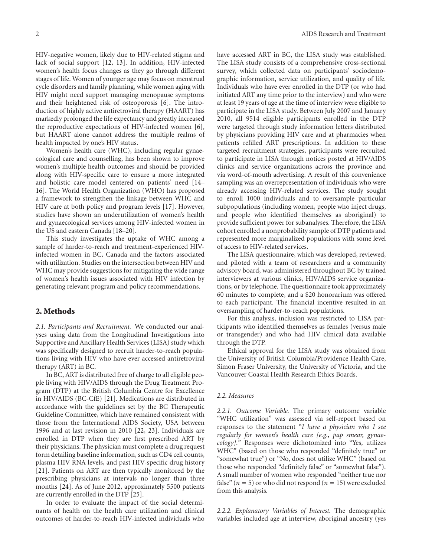HIV-negative women, likely due to HIV-related stigma and lack of social support [12, 13]. In addition, HIV-infected women's health focus changes as they go through different stages of life. Women of younger age may focus on menstrual cycle disorders and family planning, while women aging with HIV might need support managing menopause symptoms and their heightened risk of osteoporosis [6]. The introduction of highly active antiretroviral therapy (HAART) has markedly prolonged the life expectancy and greatly increased the reproductive expectations of HIV-infected women [6], but HAART alone cannot address the multiple realms of health impacted by one's HIV status.

Women's health care (WHC), including regular gynaecological care and counselling, has been shown to improve women's multiple health outcomes and should be provided along with HIV-specific care to ensure a more integrated and holistic care model centered on patients' need [14– 16]. The World Health Organization (WHO) has proposed a framework to strengthen the linkage between WHC and HIV care at both policy and program levels [17]. However, studies have shown an underutilization of women's health and gynaecological services among HIV-infected women in the US and eastern Canada [18–20].

This study investigates the uptake of WHC among a sample of harder-to-reach and treatment-experienced HIVinfected women in BC, Canada and the factors associated with utilization. Studies on the intersection between HIV and WHC may provide suggestions for mitigating the wide range of women's health issues associated with HIV infection by generating relevant program and policy recommendations.

#### **2. Methods**

*2.1. Participants and Recruitment.* We conducted our analyses using data from the Longitudinal Investigations into Supportive and Ancillary Health Services (LISA) study which was specifically designed to recruit harder-to-reach populations living with HIV who have ever accessed antiretroviral therapy (ART) in BC.

In BC, ART is distributed free of charge to all eligible people living with HIV/AIDS through the Drug Treatment Program (DTP) at the British Columbia Centre for Excellence in HIV/AIDS (BC-CfE) [21]. Medications are distributed in accordance with the guidelines set by the BC Therapeutic Guideline Committee, which have remained consistent with those from the International AIDS Society, USA between 1996 and at last revision in 2010 [22, 23]. Individuals are enrolled in DTP when they are first prescribed ART by their physicians. The physician must complete a drug request form detailing baseline information, such as CD4 cell counts, plasma HIV RNA levels, and past HIV-specific drug history [21]. Patients on ART are then typically monitored by the prescribing physicians at intervals no longer than three months [24]. As of June 2012, approximately 5500 patients are currently enrolled in the DTP [25].

In order to evaluate the impact of the social determinants of health on the health care utilization and clinical outcomes of harder-to-reach HIV-infected individuals who have accessed ART in BC, the LISA study was established. The LISA study consists of a comprehensive cross-sectional survey, which collected data on participants' sociodemographic information, service utilization, and quality of life. Individuals who have ever enrolled in the DTP (or who had initiated ART any time prior to the interview) and who were at least 19 years of age at the time of interview were eligible to participate in the LISA study. Between July 2007 and January 2010, all 9514 eligible participants enrolled in the DTP were targeted through study information letters distributed by physicians providing HIV care and at pharmacies when patients refilled ART prescriptions. In addition to these targeted recruitment strategies, participants were recruited to participate in LISA through notices posted at HIV/AIDS clinics and service organizations across the province and via word-of-mouth advertising. A result of this convenience sampling was an overrepresentation of individuals who were already accessing HIV-related services. The study sought to enroll 1000 individuals and to oversample particular subpopulations (including women, people who inject drugs, and people who identified themselves as aboriginal) to provide sufficient power for subanalyses. Therefore, the LISA cohort enrolled a nonprobability sample of DTP patients and represented more marginalized populations with some level of access to HIV-related services.

The LISA questionnaire, which was developed, reviewed, and piloted with a team of researchers and a community advisory board, was administered throughout BC by trained interviewers at various clinics, HIV/AIDS service organizations, or by telephone. The questionnaire took approximately 60 minutes to complete, and a \$20 honorarium was offered to each participant. The financial incentive resulted in an oversampling of harder-to-reach populations.

For this analysis, inclusion was restricted to LISA participants who identified themselves as females (versus male or transgender) and who had HIV clinical data available through the DTP.

Ethical approval for the LISA study was obtained from the University of British Columbia/Providence Health Care, Simon Fraser University, the University of Victoria, and the Vancouver Coastal Health Research Ethics Boards.

#### *2.2. Measures*

*2.2.1. Outcome Variable.* The primary outcome variable "WHC utilization" was assessed via self-report based on responses to the statement "*I have a physician who I see regularly for women's health care [e.g., pap smear, gynaecology].*" Responses were dichotomized into "Yes, utilizes WHC" (based on those who responded "definitely true" or "somewhat true") or "No, does not utilize WHC" (based on those who responded "definitely false" or "somewhat false"). A small number of women who responded "neither true nor false" ( $n = 5$ ) or who did not respond ( $n = 15$ ) were excluded from this analysis.

*2.2.2. Explanatory Variables of Interest.* The demographic variables included age at interview, aboriginal ancestry (yes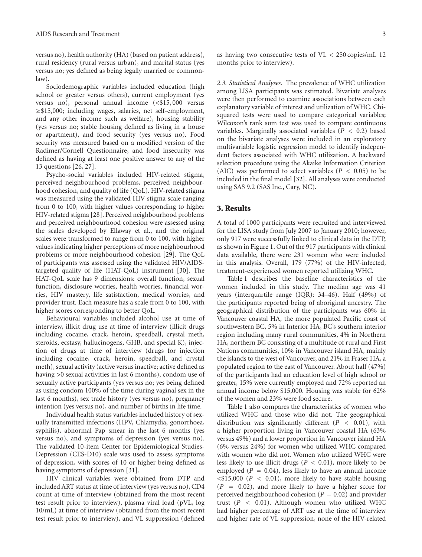versus no), health authority (HA) (based on patient address), rural residency (rural versus urban), and marital status (yes versus no; yes defined as being legally married or commonlaw).

Sociodemographic variables included education (high school or greater versus others), current employment (yes versus no), personal annual income (*<*\$15, 000 versus ≥\$15,000; including wages, salaries, net self-employment, and any other income such as welfare), housing stability (yes versus no; stable housing defined as living in a house or apartment), and food security (yes versus no). Food security was measured based on a modified version of the Radimer/Cornell Questionnaire, and food insecurity was defined as having at least one positive answer to any of the 13 questions [26, 27].

Psycho-social variables included HIV-related stigma, perceived neighbourhood problems, perceived neighbourhood cohesion, and quality of life (QoL). HIV-related stigma was measured using the validated HIV stigma scale ranging from 0 to 100, with higher values corresponding to higher HIV-related stigma [28]. Perceived neighbourhood problems and perceived neighbourhood cohesion were assessed using the scales developed by Ellaway et al., and the original scales were transformed to range from 0 to 100, with higher values indicating higher perceptions of more neighbourhood problems or more neighbourhood cohesion [29]. The QoL of participants was assessed using the validated HIV/AIDStargeted quality of life (HAT-QoL) instrument [30]. The HAT-QoL scale has 9 dimensions: overall function, sexual function, disclosure worries, health worries, financial worries, HIV mastery, life satisfaction, medical worries, and provider trust. Each measure has a scale from 0 to 100, with higher scores corresponding to better QoL.

Behavioural variables included alcohol use at time of interview, illicit drug use at time of interview (illicit drugs including cocaine, crack, heroin, speedball, crystal meth, steroids, ecstasy, hallucinogens, GHB, and special K), injection of drugs at time of interview (drugs for injection including cocaine, crack, heroin, speedball, and crystal meth), sexual activity (active versus inactive; active defined as having *>*0 sexual activities in last 6 months), condom use of sexually active participants (yes versus no; yes being defined as using condom 100% of the time during vaginal sex in the last 6 months), sex trade history (yes versus no), pregnancy intention (yes versus no), and number of births in life time.

Individual health status variables included history of sexually transmitted infections (HPV, Chlamydia, gonorrhoea, syphilis), abnormal Pap smear in the last 6 months (yes versus no), and symptoms of depression (yes versus no). The validated 10-item Center for Epidemiological Studies-Depression (CES-D10) scale was used to assess symptoms of depression, with scores of 10 or higher being defined as having symptoms of depression [31].

HIV clinical variables were obtained from DTP and included ART status at time of interview (yes versus no), CD4 count at time of interview (obtained from the most recent test result prior to interview), plasma viral load (pVL, log 10/mL) at time of interview (obtained from the most recent test result prior to interview), and VL suppression (defined as having two consecutive tests of VL *<* 250 copies/mL 12 months prior to interview).

*2.3. Statistical Analyses.* The prevalence of WHC utilization among LISA participants was estimated. Bivariate analyses were then performed to examine associations between each explanatory variable of interest and utilization of WHC. Chisquared tests were used to compare categorical variables; Wilcoxon's rank sum test was used to compare continuous variables. Marginally associated variables (*P <* 0*.*2) based on the bivariate analyses were included in an exploratory multivariable logistic regression model to identify independent factors associated with WHC utilization. A backward selection procedure using the Akaike Information Criterion (AIC) was performed to select variables ( $P < 0.05$ ) to be included in the final model [32]. All analyses were conducted using SAS 9.2 (SAS Inc., Cary, NC).

#### **3. Results**

A total of 1000 participants were recruited and interviewed for the LISA study from July 2007 to January 2010; however, only 917 were successfully linked to clinical data in the DTP, as shown in Figure 1. Out of the 917 participants with clinical data available, there were 231 women who were included in this analysis. Overall, 179 (77%) of the HIV-infected, treatment-experienced women reported utilizing WHC.

Table 1 describes the baseline characteristics of the women included in this study. The median age was 41 years (interquartile range (IQR): 34–46). Half (49%) of the participants reported being of aboriginal ancestry. The geographical distribution of the participants was 60% in Vancouver coastal HA, the more populated Pacific coast of southwestern BC, 5% in Interior HA, BC's southern interior region including many rural communities, 4% in Northern HA, northern BC consisting of a multitude of rural and First Nations communities, 10% in Vancouver island HA, mainly the islands to the west of Vancouver, and 21% in Fraser HA, a populated region to the east of Vancouver. About half (47%) of the participants had an education level of high school or greater, 15% were currently employed and 72% reported an annual income below \$15,000. Housing was stable for 62% of the women and 23% were food secure.

Table 1 also compares the characteristics of women who utilized WHC and those who did not. The geographical distribution was significantly different (*P <* 0*.*01), with a higher proportion living in Vancouver coastal HA (63% versus 49%) and a lower proportion in Vancouver island HA (6% versus 24%) for women who utilized WHC compared with women who did not. Women who utilized WHC were less likely to use illicit drugs (*P <* 0*.*01), more likely to be employed  $(P = 0.04)$ , less likely to have an annual income *<*\$15,000 (*P <* 0*.*01), more likely to have stable housing (*<sup>P</sup>* <sup>=</sup> <sup>0</sup>*.*02), and more likely to have a higher score for perceived neighbourhood cohesion (*<sup>P</sup>* <sup>=</sup> <sup>0</sup>*.*02) and provider trust (*P <* 0*.*01). Although women who utilized WHC had higher percentage of ART use at the time of interview and higher rate of VL suppression, none of the HIV-related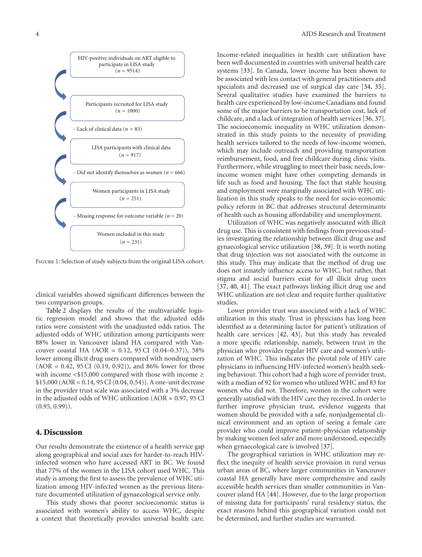

Figure 1: Selection of study subjects from the original LISA cohort.

clinical variables showed significant differences between the two comparison groups.

Table 2 displays the results of the multivariable logistic regression model and shows that the adjusted odds ratios were consistent with the unadjusted odds ratios. The adjusted odds of WHC utilization among participants were 88% lower in Vancouver island HA compared with Vancouver coastal HA ( $AOR = 0.12$ , 95 CI (0.04–0.37)), 58% lower among illicit drug users compared with nondrug users  $(AOR = 0.42, 95 CI (0.19, 0.92))$ , and 86% lower for those with income  $<$ \$15,000 compared with those with income  $\geq$ \$15,000 (AOR = 0.14, 95 CI (0.04, 0.54)). A one-unit decrease in the provider trust scale was associated with a 3% decrease in the adjusted odds of WHC utilization (AOR = 0.97, 95 CI  $(0.95, 0.99)$ .

#### **4. Discussion**

Our results demonstrate the existence of a health service gap along geographical and social axes for harder-to-reach HIVinfected women who have accessed ART in BC. We found that 77% of the women in the LISA cohort used WHC. This study is among the first to assess the prevalence of WHC utilization among HIV-infected women as the previous literature documented utilization of gynaecological service only.

This study shows that poorer socioeconomic status is associated with women's ability to access WHC, despite a context that theoretically provides universal health care.

Income-related inequalities in health care utilization have been well documented in countries with universal health care systems [33]. In Canada, lower income has been shown to be associated with less contact with general practitioners and specialists and decreased use of surgical day care [34, 35]. Several qualitative studies have examined the barriers to health care experienced by low-income Canadians and found some of the major barriers to be transportation cost, lack of childcare, and a lack of integration of health services [36, 37]. The socioeconomic inequality in WHC utilization demonstrated in this study points to the necessity of providing health services tailored to the needs of low-income women, which may include outreach and providing transportation reimbursement, food, and free childcare during clinic visits. Furthermore, while struggling to meet their basic needs, lowincome women might have other competing demands in life such as food and housing. The fact that stable housing and employment were marginally associated with WHC utilization in this study speaks to the need for socio-economic policy reform in BC that addresses structural determinants of health such as housing affordability and unemployment.

Utilization of WHC was negatively associated with illicit drug use. This is consistent with findings from previous studies investigating the relationship between illicit drug use and gynaecological service utilization [38, 39]. It is worth noting that drug injection was not associated with the outcome in this study. This may indicate that the method of drug use does not innately influence access to WHC, but rather, that stigma and social barriers exist for all illicit drug users [37, 40, 41]. The exact pathways linking illicit drug use and WHC utilization are not clear and require further qualitative studies.

Lower provider trust was associated with a lack of WHC utilization in this study. Trust in physicians has long been identified as a determining factor for patient's utilization of health care services [42, 43], but this study has revealed a more specific relationship, namely, between trust in the physician who provides regular HIV care and women's utilization of WHC. This indicates the pivotal role of HIV care physicians in influencing HIV-infected women's health seeking behaviour. This cohort had a high score of provider trust, with a median of 92 for women who utilized WHC and 83 for women who did not. Therefore, women in the cohort were generally satisfied with the HIV care they received. In order to further improve physician trust, evidence suggests that women should be provided with a safe, nonjudgemental clinical environment and an option of seeing a female care provider who could improve patient-physician relationship by making women feel safer and more understood, especially when gynaecological care is involved [37].

The geographical variation in WHC utilization may reflect the inequity of health service provision in rural versus urban areas of BC, where larger communities in Vancouver coastal HA generally have more comprehensive and easily accessible health services than smaller communities in Vancouver island HA [44]. However, due to the large proportion of missing data for participants' rural residency status, the exact reasons behind this geographical variation could not be determined, and further studies are warranted.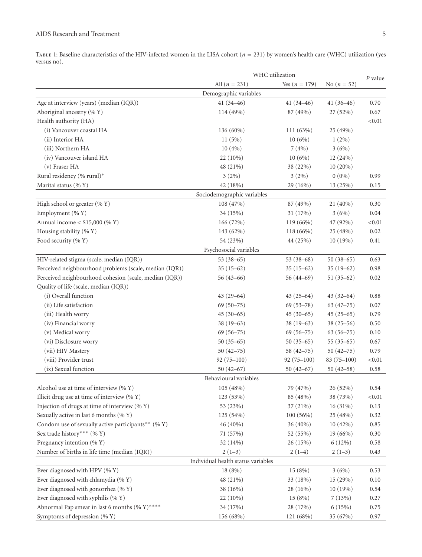Table 1: Baseline characteristics of the HIV-infected women in the LISA cohort (*<sup>n</sup>* <sup>=</sup> 231) by women's health care (WHC) utilization (yes versus no).

|                                                        | WHC utilization                    |                 |                |           |
|--------------------------------------------------------|------------------------------------|-----------------|----------------|-----------|
|                                                        | All $(n = 231)$                    | Yes $(n = 179)$ | No $(n = 52)$  | $P$ value |
|                                                        | Demographic variables              |                 |                |           |
| Age at interview (years) (median (IQR))                | $41(34 - 46)$                      | $41(34 - 46)$   | $41(36 - 46)$  | 0.70      |
| Aboriginal ancestry (% Y)                              | 114 (49%)                          | 87 (49%)        | 27 (52%)       | 0.67      |
| Health authority (HA)                                  |                                    |                 |                | < 0.01    |
| (i) Vancouver coastal HA                               | 136 (60%)                          | 111 (63%)       | 25 (49%)       |           |
| (ii) Interior HA                                       | 11(5%)                             | $10(6\%)$       | $1(2\%)$       |           |
| (iii) Northern HA                                      | 10(4%)                             | 7(4%)           | 3(6%)          |           |
| (iv) Vancouver island HA                               | 22 (10%)                           | 10(6%)          | 12 (24%)       |           |
| (v) Fraser HA                                          | 48 (21%)                           | 38 (22%)        | 10 (20%)       |           |
| Rural residency (% rural)*                             | $3(2\%)$                           | $3(2\%)$        | $0(0\%)$       | 0.99      |
| Marital status (% Y)                                   | 42 (18%)                           | 29 (16%)        | 13 (25%)       | 0.15      |
|                                                        | Sociodemographic variables         |                 |                |           |
| High school or greater (% Y)                           | 108 (47%)                          | 87 (49%)        | 21 (40%)       | 0.30      |
| Employment (%Y)                                        | 34 (15%)                           | 31 (17%)        | 3(6%)          | 0.04      |
| Annual income < \$15,000 (% Y)                         | 166 (72%)                          | 119 (66%)       | 47 (92%)       | < 0.01    |
| Housing stability (% Y)                                | 143 (62%)                          | 118 (66%)       | 25 (48%)       | 0.02      |
| Food security (% Y)                                    | 54 (23%)                           | 44 (25%)        | 10(19%)        | 0.41      |
|                                                        | Psychosocial variables             |                 |                |           |
| HIV-related stigma (scale, median (IQR))               | $53(38-65)$                        | $53(38-68)$     | $50(38-65)$    | 0.63      |
| Perceived neighbourhood problems (scale, median (IQR)) | $35(15-62)$                        | $35(15-62)$     | $35(19-62)$    | 0.98      |
| Perceived neighbourhood cohesion (scale, median (IQR)) | $56(43-66)$                        | $56(44-69)$     | $51(35-62)$    | 0.02      |
| Quality of life (scale, median (IQR))                  |                                    |                 |                |           |
| (i) Overall function                                   | $43(29 - 64)$                      | $43(25-64)$     | $43(32 - 64)$  | 0.88      |
| (ii) Life satisfaction                                 | $69(50-75)$                        | $69(53 - 78)$   | $63(47-75)$    | 0.07      |
| (iii) Health worry                                     | $45(30-65)$                        | $45(30-65)$     | $45(25-65)$    | 0.79      |
| (iv) Financial worry                                   | $38(19-63)$                        | $38(19-63)$     | $38(25 - 56)$  | 0.50      |
| (v) Medical worry                                      | $69(56 - 75)$                      | $69(56 - 75)$   | $63(56-75)$    | 0.10      |
| (vi) Disclosure worry                                  | $50(35-65)$                        | $50(35-65)$     | $55(35-65)$    | 0.67      |
| (vii) HIV Mastery                                      | $50(42 - 75)$                      | $58(42 - 75)$   | $50(42 - 75)$  | 0.79      |
| (viii) Provider trust                                  | $92(75 - 100)$                     | $92(75 - 100)$  | $83(75 - 100)$ | < 0.01    |
| (ix) Sexual function                                   | $50(42 - 67)$                      | $50(42 - 67)$   | $50(42 - 58)$  | 0.58      |
|                                                        | Behavioural variables              |                 |                |           |
|                                                        |                                    |                 | 26 (52%)       | $0.54\,$  |
| Alcohol use at time of interview $(\% Y)$              | 105 (48%)                          | 79 (47%)        |                |           |
| Illicit drug use at time of interview (% Y)            | 123 (53%)                          | 85 (48%)        | 38 (73%)       | < 0.01    |
| Injection of drugs at time of interview (% Y)          | 53 (23%)                           | 37 (21%)        | 16(31%)        | 0.13      |
| Sexually active in last 6 months (% Y)                 | 125 (54%)                          | 100 (56%)       | 25 (48%)       | 0.32      |
| Condom use of sexually active participants** (% Y)     | 46 (40%)                           | 36 (40%)        | $10(42\%)$     | 0.85      |
| Sex trade history*** (% Y)                             | 71 (57%)                           | 52 (55%)        | 19 (66%)       | 0.30      |
| Pregnancy intention (% Y)                              | 32 (14%)                           | 26 (15%)        | 6(12%)         | 0.58      |
| Number of births in life time (median (IQR))           | $2(1-3)$                           | $2(1-4)$        | $2(1-3)$       | 0.43      |
|                                                        | Individual health status variables |                 |                |           |
| Ever diagnosed with HPV (% Y)                          | 18(8%)                             | 15(8%)          | 3(6%)          | 0.53      |
| Ever diagnosed with chlamydia (% Y)                    | 48 (21%)                           | 33 (18%)        | 15 (29%)       | 0.10      |
| Ever diagnosed with gonorrhea (% Y)                    | 38 (16%)                           | 28 (16%)        | 10(19%)        | 0.54      |
| Ever diagnosed with syphilis (% Y)                     | 22 (10%)                           | 15(8%)          | 7(13%)         | 0.27      |
| Abnormal Pap smear in last 6 months (% Y)****          | 34 (17%)                           | 28 (17%)        | 6(15%)         | 0.75      |
| Symptoms of depression (% Y)                           | 156 (68%)                          | 121 (68%)       | 35 (67%)       | 0.97      |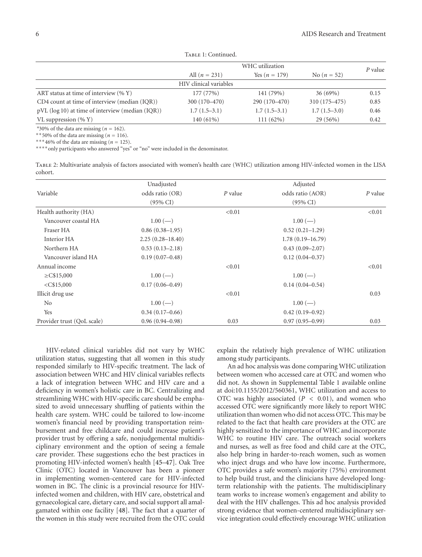|                                                  | WHC utilization        |                 |                | P value |
|--------------------------------------------------|------------------------|-----------------|----------------|---------|
|                                                  | All $(n = 231)$        | Yes $(n = 179)$ | No $(n = 52)$  |         |
|                                                  | HIV clinical variables |                 |                |         |
| ART status at time of interview $(\% Y)$         | 177(77%)               | 141 (79%)       | $36(69\%)$     | 0.15    |
| CD4 count at time of interview (median (IQR))    | $300(170-470)$         | 290 (170-470)   | 310 (175-475)  | 0.85    |
| pVL (log 10) at time of interview (median (IQR)) | $1.7(1.5-3.1)$         | $1.7(1.5-3.1)$  | $1.7(1.5-3.0)$ | 0.46    |
| VL suppression $(\% Y)$                          | $140(61\%)$            | $111(62\%)$     | $29(56\%)$     | 0.42    |

TABLE 1: Continued.

<sup>∗</sup>30% of the data are missing (*<sup>n</sup>* <sup>=</sup> 162).

∗∗50% of the data are missing (*<sup>n</sup>* <sup>=</sup> 116).

∗∗∗46% of the data are missing (*<sup>n</sup>* <sup>=</sup> 125).

∗∗∗∗only participants who answered "yes" or "no" were included in the denominator.

Table 2: Multivariate analysis of factors associated with women's health care (WHC) utilization among HIV-infected women in the LISA cohort.

|                            | Unadjusted           |         | Adjusted             |         |
|----------------------------|----------------------|---------|----------------------|---------|
| Variable                   | odds ratio (OR)      | P value | odds ratio (AOR)     | P value |
|                            | $(95\% \text{ CI})$  |         | $(95\% \text{ CI})$  |         |
| Health authority (HA)      |                      | < 0.01  |                      | < 0.01  |
| Vancouver coastal HA       | $1.00$ (--)          |         | $1.00$ (--)          |         |
| Fraser HA                  | $0.86(0.38-1.95)$    |         | $0.52(0.21 - 1.29)$  |         |
| Interior HA                | $2.25(0.28 - 18.40)$ |         | $1.78(0.19 - 16.79)$ |         |
| Northern HA                | $0.53(0.13 - 2.18)$  |         | $0.43(0.09 - 2.07)$  |         |
| Vancouver island HA        | $0.19(0.07-0.48)$    |         | $0.12(0.04 - 0.37)$  |         |
| Annual income              |                      | < 0.01  |                      | < 0.01  |
| $\geq$ C\$15,000           | $1.00$ (--)          |         | $1.00$ (--)          |         |
| $\langle$ C\$15,000        | $0.17(0.06 - 0.49)$  |         | $0.14(0.04 - 0.54)$  |         |
| Illicit drug use           |                      | < 0.01  |                      | 0.03    |
| N <sub>0</sub>             | $1.00$ (--)          |         | $1.00$ (--)          |         |
| Yes                        | $0.34(0.17-0.66)$    |         | $0.42(0.19-0.92)$    |         |
| Provider trust (QoL scale) | $0.96(0.94 - 0.98)$  | 0.03    | $0.97(0.95-0.99)$    | 0.03    |

HIV-related clinical variables did not vary by WHC utilization status, suggesting that all women in this study responded similarly to HIV-specific treatment. The lack of association between WHC and HIV clinical variables reflects a lack of integration between WHC and HIV care and a deficiency in women's holistic care in BC. Centralizing and streamlining WHC with HIV-specific care should be emphasized to avoid unnecessary shuffling of patients within the health care system. WHC could be tailored to low-income women's financial need by providing transportation reimbursement and free childcare and could increase patient's provider trust by offering a safe, nonjudgemental multidisciplinary environment and the option of seeing a female care provider. These suggestions echo the best practices in promoting HIV-infected women's health [45–47]. Oak Tree Clinic (OTC) located in Vancouver has been a pioneer in implementing women-centered care for HIV-infected women in BC. The clinic is a provincial resource for HIVinfected women and children, with HIV care, obstetrical and gynaecological care, dietary care, and social support all amalgamated within one facility [48]. The fact that a quarter of the women in this study were recruited from the OTC could

explain the relatively high prevalence of WHC utilization among study participants.

An ad hoc analysis was done comparing WHC utilization between women who accessed care at OTC and women who did not. As shown in Supplemental Table 1 available online at doi:10.1155/2012/560361, WHC utilization and access to OTC was highly associated (*P <* 0*.*01), and women who accessed OTC were significantly more likely to report WHC utilization than women who did not access OTC. This may be related to the fact that health care providers at the OTC are highly sensitized to the importance of WHC and incorporate WHC to routine HIV care. The outreach social workers and nurses, as well as free food and child care at the OTC, also help bring in harder-to-reach women, such as women who inject drugs and who have low income. Furthermore, OTC provides a safe women's majority (75%) environment to help build trust, and the clinicians have developed longterm relationship with the patients. The multidisciplinary team works to increase women's engagement and ability to deal with the HIV challenges. This ad hoc analysis provided strong evidence that women-centered multidisciplinary service integration could effectively encourage WHC utilization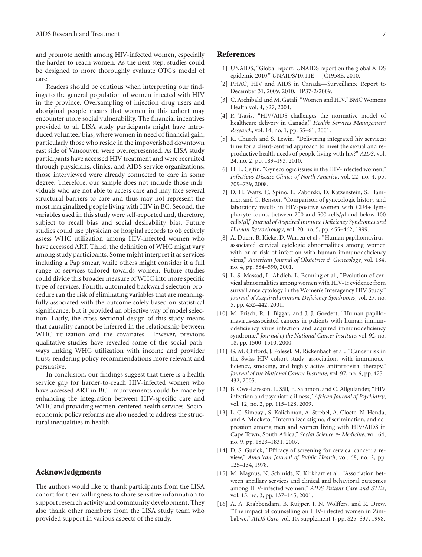and promote health among HIV-infected women, especially the harder-to-reach women. As the next step, studies could be designed to more thoroughly evaluate OTC's model of care.

Readers should be cautious when interpreting our findings to the general population of women infected with HIV in the province. Oversampling of injection drug users and aboriginal people means that women in this cohort may encounter more social vulnerability. The financial incentives provided to all LISA study participants might have introduced volunteer bias, where women in need of financial gain, particularly those who reside in the impoverished downtown east side of Vancouver, were overrepresented. As LISA study participants have accessed HIV treatment and were recruited through physicians, clinics, and AIDS service organizations, those interviewed were already connected to care in some degree. Therefore, our sample does not include those individuals who are not able to access care and may face several structural barriers to care and thus may not represent the most marginalized people living with HIV in BC. Second, the variables used in this study were self-reported and, therefore, subject to recall bias and social desirability bias. Future studies could use physician or hospital records to objectively assess WHC utilization among HIV-infected women who have accessed ART. Third, the definition of WHC might vary among study participants. Some might interpret it as services including a Pap smear, while others might consider it a full range of services tailored towards women. Future studies could divide this broader measure of WHC into more specific type of services. Fourth, automated backward selection procedure ran the risk of eliminating variables that are meaningfully associated with the outcome solely based on statistical significance, but it provided an objective way of model selection. Lastly, the cross-sectional design of this study means that causality cannot be inferred in the relationship between WHC utilization and the covariates. However, previous qualitative studies have revealed some of the social pathways linking WHC utilization with income and provider trust, rendering policy recommendations more relevant and persuasive.

In conclusion, our findings suggest that there is a health service gap for harder-to-reach HIV-infected women who have accessed ART in BC. Improvements could be made by enhancing the integration between HIV-specific care and WHC and providing women-centered health services. Socioeconomic policy reforms are also needed to address the structural inequalities in health.

## **Acknowledgments**

The authors would like to thank participants from the LISA cohort for their willingness to share sensitive information to support research activity and community development. They also thank other members from the LISA study team who provided support in various aspects of the study.

#### **References**

- [1] UNAIDS, "Global report: UNAIDS report on the global AIDS epidemic 2010," UNAIDS/10.11E —JC1958E, 2010.
- [2] PHAC, HIV and AIDS in Canada—Surveillance Report to December 31, 2009. 2010, HP37-2/2009.
- [3] C. Archibald and M. Gatali, "Women and HIV," BMC Womens Health vol. 4, S27, 2004.
- [4] P. Tsasis, "HIV/AIDS challenges the normative model of healthcare delivery in Canada," *Health Services Management Research*, vol. 14, no. 1, pp. 55–61, 2001.
- [5] K. Church and S. Lewin, "Delivering integrated hiv services: time for a client-centred approach to meet the sexual and reproductive health needs of people living with hiv?" *AIDS*, vol. 24, no. 2, pp. 189–193, 2010.
- [6] H. E. Cejtin, "Gynecologic issues in the HIV-infected women," *Infectious Disease Clinics of North America*, vol. 22, no. 4, pp. 709–739, 2008.
- [7] D. H. Watts, C. Spino, L. Zaborski, D. Katzenstein, S. Hammer, and C. Benson, "Comparison of gynecologic history and laboratory results in HIV-positive women with CD4+ lymphocyte counts between 200 and 500 cells/*µ*l and below 100 cells/*µ*l," *Journal of Acquired Immune Deficiency Syndromes and Human Retrovirology*, vol. 20, no. 5, pp. 455–462, 1999.
- [8] A. Duerr, B. Kieke, D. Warren et al., "Human papillomavirusassociated cervical cytologic abnormalities among women with or at risk of infection with human immunodeficiency virus," *American Journal of Obstetrics & Gynecology*, vol. 184, no. 4, pp. 584–590, 2001.
- [9] L. S. Massad, L. Ahdieh, L. Benning et al., "Evolution of cervical abnormalities among women with HIV-1: evidence from surveillance cytology in the Women's Interagency HIV Study," *Journal of Acquired Immune Deficiency Syndromes*, vol. 27, no. 5, pp. 432–442, 2001.
- [10] M. Frisch, R. J. Biggar, and J. J. Goedert, "Human papillomavirus-associated cancers in patients with human immunodeficiency virus infection and acquired immunodeficiency syndrome," *Journal of the National Cancer Institute*, vol. 92, no. 18, pp. 1500–1510, 2000.
- [11] G. M. Clifford, J. Polesel, M. Rickenbach et al., "Cancer risk in the Swiss HIV cohort study: associations with immunodeficiency, smoking, and highly active antiretroviral therapy," *Journal of the National Cancer Institute*, vol. 97, no. 6, pp. 425– 432, 2005.
- [12] B. Owe-Larsson, L. Säll, E. Salamon, and C. Allgulander, "HIV infection and psychiatric illness," *African Journal of Psychiatry*, vol. 12, no. 2, pp. 115–128, 2009.
- [13] L. C. Simbayi, S. Kalichman, A. Strebel, A. Cloete, N. Henda, and A. Mqeketo, "Internalized stigma, discrimination, and depression among men and women living with HIV/AIDS in Cape Town, South Africa," *Social Science & Medicine*, vol. 64, no. 9, pp. 1823–1831, 2007.
- [14] D. S. Guzick, "Efficacy of screening for cervical cancer: a review," *American Journal of Public Health*, vol. 68, no. 2, pp. 125–134, 1978.
- [15] M. Magnus, N. Schmidt, K. Kirkhart et al., "Association between ancillary services and clinical and behavioral outcomes among HIV-infected women," *AIDS Patient Care and STDs*, vol. 15, no. 3, pp. 137–145, 2001.
- [16] A. A. Krabbendam, B. Kuijper, I. N. Wolffers, and R. Drew, "The impact of counselling on HIV-infected women in Zimbabwe," *AIDS Care*, vol. 10, supplement 1, pp. S25–S37, 1998.